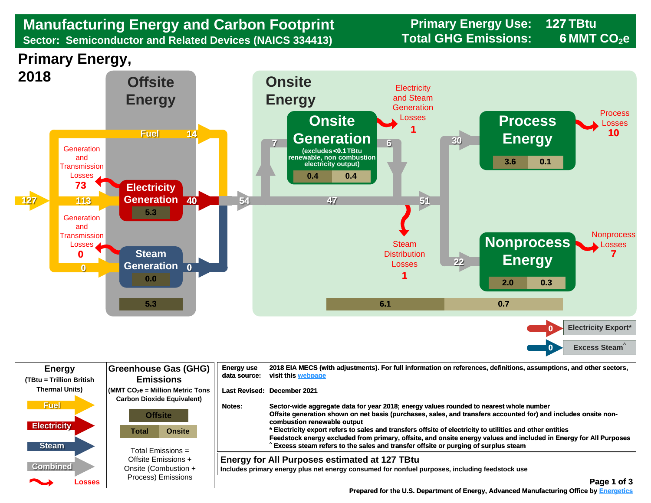## **Manufacturing Energy and Carbon Footprint Frimary Energy Use:** 128 Manufacturing Energy and Carbon Footprint<br>
Sector: Semiconductor and Related Devices (NAICS 334413) Total GHG Emissions: **Sector: Semiconductor and Related Devices (NAICS 334413)**

**127 6 MMT CO<sub>2</sub>e** 





| <b>Energy</b><br>(TBtu = Trillion British | <b>Greenhouse Gas (GHG)</b><br><b>Emissions</b>                                                          | <b>Energy use</b><br>2018 EIA MECS (with adjustments). For full information on references, definitions, assumptions, and other sectors,<br>visit this webpage<br>data source:                                                                                                                                                                      |             |
|-------------------------------------------|----------------------------------------------------------------------------------------------------------|----------------------------------------------------------------------------------------------------------------------------------------------------------------------------------------------------------------------------------------------------------------------------------------------------------------------------------------------------|-------------|
| <b>Thermal Units)</b><br><b>Fuel</b>      | $\sqrt{\frac{1}{100}}$ (MMT CO <sub>2</sub> e = Million Metric Tons<br><b>Carbon Dioxide Equivalent)</b> | Last Revised: December 2021<br>Sector-wide aggregate data for year 2018; energy values rounded to nearest whole number<br>Notes:<br>Offsite generation shown on net basis (purchases, sales, and transfers accounted for) and includes onsite non-                                                                                                 |             |
| <b>Electricity</b><br><b>Steam</b>        | <b>Offsite</b><br><b>Onsite</b><br>Total<br>Total Emissions $=$                                          | combustion renewable output<br>* Electricity export refers to sales and transfers offsite of electricity to utilities and other entities<br>Feedstock energy excluded from primary, offsite, and onsite energy values and included in Energy for All Purposes<br>Excess steam refers to the sales and transfer offsite or purging of surplus steam |             |
| <b>Combined</b><br>◚<br>Losses            | Offsite Emissions +<br>Onsite (Combustion +<br>Process) Emissions                                        | <b>Energy for All Purposes estimated at 127 TBtu</b><br>Includes primary energy plus net energy consumed for nonfuel purposes, including feedstock use                                                                                                                                                                                             | Page 1 of 3 |

 **[Prepared for the U.S. Department of Energy, Advanced Manufacturing Office by Energetics](https://www.energetics.com/) Manufacturing Energetics**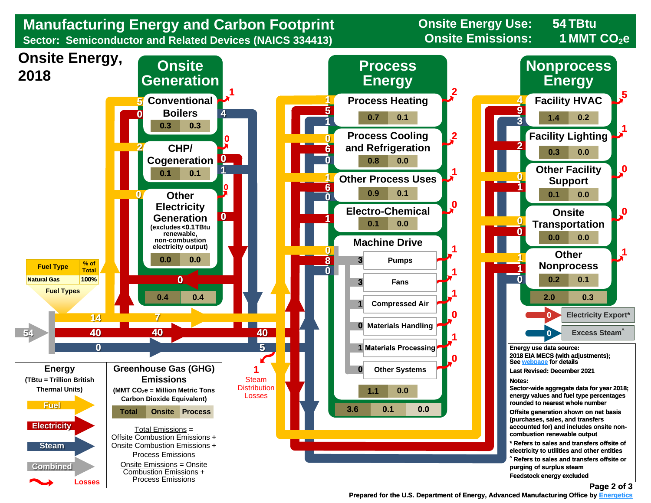